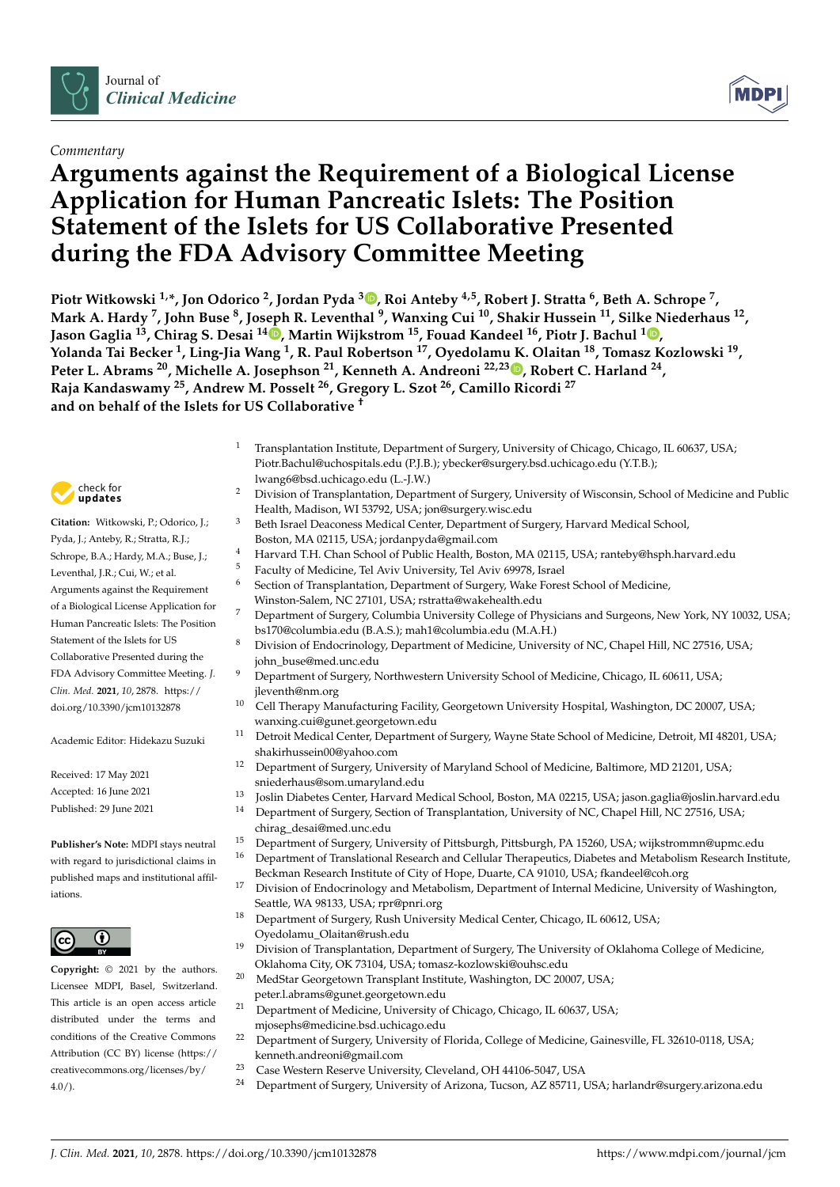

## *Commentary*

# **Arguments against the Requirement of a Biological License Application for Human Pancreatic Islets: The Position Statement of the Islets for US Collaborative Presented during the FDA Advisory Committee Meeting**

**Piotr Witkowski 1,\*, Jon Odorico <sup>2</sup> , Jordan Pyda [3](https://orcid.org/0000-0002-2833-3953) , Roi Anteby 4,5, Robert J. Stratta <sup>6</sup> , Beth A. Schrope <sup>7</sup> , Mark A. Hardy <sup>7</sup> , John Buse <sup>8</sup> , Joseph R. Leventhal <sup>9</sup> , Wanxing Cui <sup>10</sup>, Shakir Hussein <sup>11</sup>, Silke Niederhaus <sup>12</sup> , Jason Gaglia <sup>13</sup>, Chirag S. Desai <sup>14</sup> [,](https://orcid.org/0000-0002-3784-0973) Martin Wijkstrom <sup>15</sup>, Fouad Kandeel <sup>16</sup>, Piotr J. Bachul <sup>1</sup> [,](https://orcid.org/0000-0002-7694-1793) Yolanda Tai Becker <sup>1</sup> , Ling-Jia Wang <sup>1</sup> , R. Paul Robertson <sup>17</sup>, Oyedolamu K. Olaitan <sup>18</sup>, Tomasz Kozlowski <sup>19</sup> , Peter L. Abrams <sup>20</sup>, Michelle A. Josephson <sup>21</sup>, Kenneth A. Andreoni 22,23 [,](https://orcid.org/0000-0002-3143-5010) Robert C. Harland <sup>24</sup> , Raja Kandaswamy <sup>25</sup>, Andrew M. Posselt <sup>26</sup>, Gregory L. Szot <sup>26</sup>, Camillo Ricordi <sup>27</sup> and on behalf of the Islets for US Collaborative †**

- <sup>1</sup> Transplantation Institute, Department of Surgery, University of Chicago, Chicago, IL 60637, USA; Piotr.Bachul@uchospitals.edu (P.J.B.); ybecker@surgery.bsd.uchicago.edu (Y.T.B.); lwang6@bsd.uchicago.edu (L.-J.W.)
- <sup>2</sup> Division of Transplantation, Department of Surgery, University of Wisconsin, School of Medicine and Public Health, Madison, WI 53792, USA; jon@surgery.wisc.edu
- <sup>3</sup> Beth Israel Deaconess Medical Center, Department of Surgery, Harvard Medical School, Boston, MA 02115, USA; jordanpyda@gmail.com
- <sup>4</sup> Harvard T.H. Chan School of Public Health, Boston, MA 02115, USA; ranteby@hsph.harvard.edu
- <sup>5</sup> Faculty of Medicine, Tel Aviv University, Tel Aviv 69978, Israel
- <sup>6</sup> Section of Transplantation, Department of Surgery, Wake Forest School of Medicine,
	- Winston-Salem, NC 27101, USA; rstratta@wakehealth.edu
	- <sup>7</sup> Department of Surgery, Columbia University College of Physicians and Surgeons, New York, NY 10032, USA; bs170@columbia.edu (B.A.S.); mah1@columbia.edu (M.A.H.)
	- 8 Division of Endocrinology, Department of Medicine, University of NC, Chapel Hill, NC 27516, USA; john\_buse@med.unc.edu
	- Department of Surgery, Northwestern University School of Medicine, Chicago, IL 60611, USA; jleventh@nm.org
	- <sup>10</sup> Cell Therapy Manufacturing Facility, Georgetown University Hospital, Washington, DC 20007, USA; wanxing.cui@gunet.georgetown.edu
	- Detroit Medical Center, Department of Surgery, Wayne State School of Medicine, Detroit, MI 48201, USA; shakirhussein00@yahoo.com
	- <sup>12</sup> Department of Surgery, University of Maryland School of Medicine, Baltimore, MD 21201, USA; sniederhaus@som.umaryland.edu
	- 13 Joslin Diabetes Center, Harvard Medical School, Boston, MA 02215, USA; jason.gaglia@joslin.harvard.edu<br>14 Department of Surgery Section of Transplantation, University of NC Chanol Hill, NC 27516, USA;
	- <sup>14</sup> Department of Surgery, Section of Transplantation, University of NC, Chapel Hill, NC 27516, USA; chirag\_desai@med.unc.edu
	- <sup>15</sup> Department of Surgery, University of Pittsburgh, Pittsburgh, PA 15260, USA; wijkstrommn@upmc.edu
	- <sup>16</sup> Department of Translational Research and Cellular Therapeutics, Diabetes and Metabolism Research Institute, Beckman Research Institute of City of Hope, Duarte, CA 91010, USA; fkandeel@coh.org
	- <sup>17</sup> Division of Endocrinology and Metabolism, Department of Internal Medicine, University of Washington, Seattle, WA 98133, USA; rpr@pnri.org
	- <sup>18</sup> Department of Surgery, Rush University Medical Center, Chicago, IL 60612, USA; Oyedolamu\_Olaitan@rush.edu
	- <sup>19</sup> Division of Transplantation, Department of Surgery, The University of Oklahoma College of Medicine, Oklahoma City, OK 73104, USA; tomasz-kozlowski@ouhsc.edu
	- <sup>20</sup> MedStar Georgetown Transplant Institute, Washington, DC 20007, USA;
	- peter.l.abrams@gunet.georgetown.edu
	- <sup>21</sup> Department of Medicine, University of Chicago, Chicago, IL 60637, USA; mjosephs@medicine.bsd.uchicago.edu
	- <sup>22</sup> Department of Surgery, University of Florida, College of Medicine, Gainesville, FL 32610-0118, USA; kenneth.andreoni@gmail.com
	- <sup>23</sup> Case Western Reserve University, Cleveland, OH 44106-5047, USA<br><sup>24</sup> Department of Surgery, University of Arizona Tyseen, AZ 85711, I
	- <sup>24</sup> Department of Surgery, University of Arizona, Tucson, AZ 85711, USA; harlandr@surgery.arizona.edu



**Citation:** Witkowski, P.; Odorico, J.; Pyda, J.; Anteby, R.; Stratta, R.J.; Schrope, B.A.; Hardy, M.A.; Buse, J.; Leventhal, J.R.; Cui, W.; et al. Arguments against the Requirement of a Biological License Application for Human Pancreatic Islets: The Position Statement of the Islets for US Collaborative Presented during the FDA Advisory Committee Meeting. *J. Clin. Med.* **2021**, *10*, 2878. [https://](https://doi.org/10.3390/jcm10132878) [doi.org/10.3390/jcm10132878](https://doi.org/10.3390/jcm10132878)

Academic Editor: Hidekazu Suzuki

Received: 17 May 2021 Accepted: 16 June 2021 Published: 29 June 2021

**Publisher's Note:** MDPI stays neutral with regard to jurisdictional claims in published maps and institutional affiliations.



Licensee MDPI, Basel, Switzerland. This article is an open access article distributed under the terms and conditions of the Creative Commons Attribution (CC BY) license (https:/[/](https://creativecommons.org/licenses/by/4.0/) [creativecommons.org/licenses/by/](https://creativecommons.org/licenses/by/4.0/)  $4.0/$ ).

**Copyright:** © 2021 by the authors.

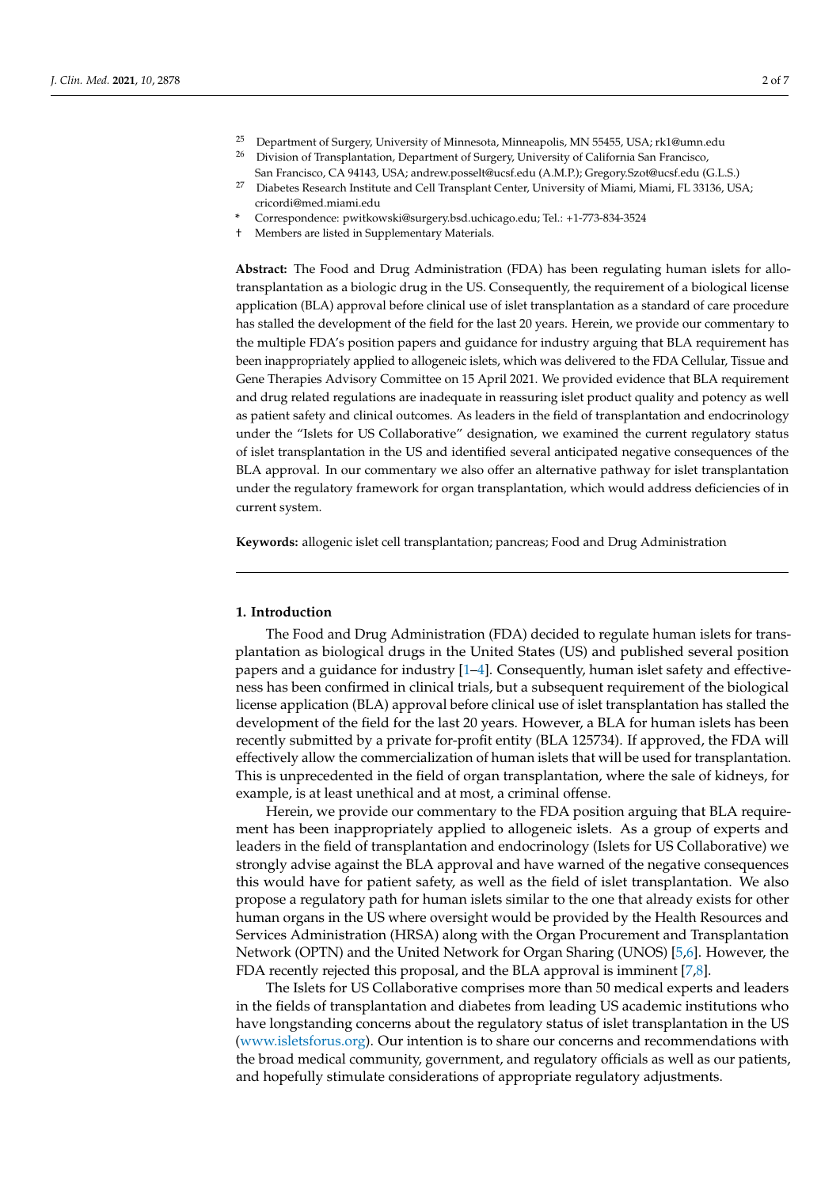- <sup>25</sup> Department of Surgery, University of Minnesota, Minneapolis, MN 55455, USA; rk1@umn.edu<br><sup>26</sup> Division of Transplantation, Department of Surgery University of California San Francisco.
- <sup>26</sup> Division of Transplantation, Department of Surgery, University of California San Francisco, San Francisco, CA 94143, USA; andrew.posselt@ucsf.edu (A.M.P.); Gregory.Szot@ucsf.edu (G.L.S.)
- <sup>27</sup> Diabetes Research Institute and Cell Transplant Center, University of Miami, Miami, FL 33136, USA; cricordi@med.miami.edu
- **\*** Correspondence: pwitkowski@surgery.bsd.uchicago.edu; Tel.: +1-773-834-3524
- † Members are listed in Supplementary Materials.

**Abstract:** The Food and Drug Administration (FDA) has been regulating human islets for allotransplantation as a biologic drug in the US. Consequently, the requirement of a biological license application (BLA) approval before clinical use of islet transplantation as a standard of care procedure has stalled the development of the field for the last 20 years. Herein, we provide our commentary to the multiple FDA's position papers and guidance for industry arguing that BLA requirement has been inappropriately applied to allogeneic islets, which was delivered to the FDA Cellular, Tissue and Gene Therapies Advisory Committee on 15 April 2021. We provided evidence that BLA requirement and drug related regulations are inadequate in reassuring islet product quality and potency as well as patient safety and clinical outcomes. As leaders in the field of transplantation and endocrinology under the "Islets for US Collaborative" designation, we examined the current regulatory status of islet transplantation in the US and identified several anticipated negative consequences of the BLA approval. In our commentary we also offer an alternative pathway for islet transplantation under the regulatory framework for organ transplantation, which would address deficiencies of in current system.

**Keywords:** allogenic islet cell transplantation; pancreas; Food and Drug Administration

## **1. Introduction**

The Food and Drug Administration (FDA) decided to regulate human islets for transplantation as biological drugs in the United States (US) and published several position papers and a guidance for industry [1-[4\]](#page-6-1). Consequently, human islet safety and effectiveness has been confirmed in clinical trials, but a subsequent requirement of the biological license application (BLA) approval before clinical use of islet transplantation has stalled the development of the field for the last 20 years. However, a BLA for human islets has been recently submitted by a private for-profit entity (BLA 125734). If approved, the FDA will effectively allow the commercialization of human islets that will be used for transplantation. This is unprecedented in the field of organ transplantation, where the sale of kidneys, for example, is at least unethical and at most, a criminal offense.

Herein, we provide our commentary to the FDA position arguing that BLA requirement has been inappropriately applied to allogeneic islets. As a group of experts and leaders in the field of transplantation and endocrinology (Islets for US Collaborative) we strongly advise against the BLA approval and have warned of the negative consequences this would have for patient safety, as well as the field of islet transplantation. We also propose a regulatory path for human islets similar to the one that already exists for other human organs in the US where oversight would be provided by the Health Resources and Services Administration (HRSA) along with the Organ Procurement and Transplantation Network (OPTN) and the United Network for Organ Sharing (UNOS) [\[5,](#page-6-2)[6\]](#page-6-3). However, the FDA recently rejected this proposal, and the BLA approval is imminent [\[7,](#page-6-4)[8\]](#page-6-5).

The Islets for US Collaborative comprises more than 50 medical experts and leaders in the fields of transplantation and diabetes from leading US academic institutions who have longstanding concerns about the regulatory status of islet transplantation in the US [\(www.isletsforus.org\)](www.isletsforus.org). Our intention is to share our concerns and recommendations with the broad medical community, government, and regulatory officials as well as our patients, and hopefully stimulate considerations of appropriate regulatory adjustments.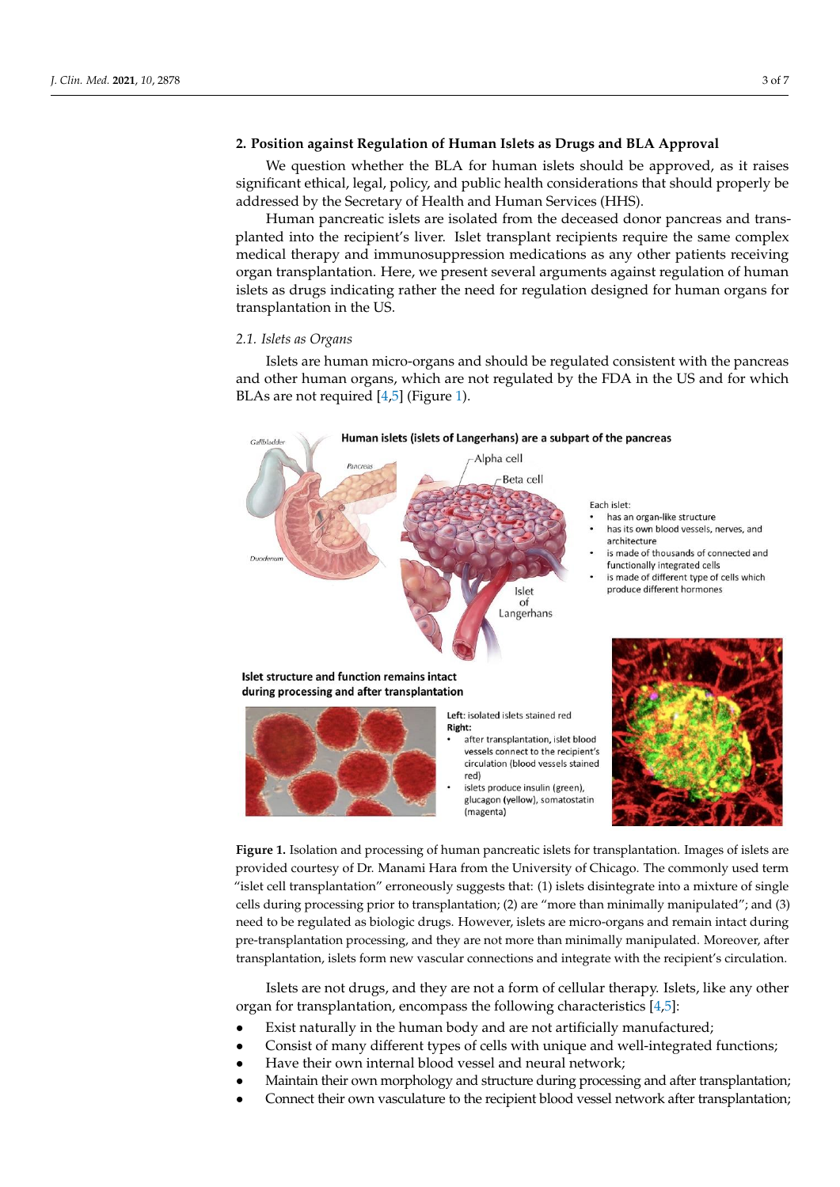## 2. Position against Regulation of Human Islets as Drugs and BLA Approval nificant ethical, legal, policy, and public health considerations that should properly be

We question whether the BLA for human islets should be approved, as it raises we question whether the BLA for human islets should be approved, as it raises<br>significant ethical, legal, policy, and public health considerations that should properly be beginned in the secretary of Health and Human Services (HHS).<br>addressed by the Secretary of Health and Human Services (HHS).

Human pancreatic islets are isolated from the deceased donor pancreas and transplanted into the recipient's liver. Islet transplant recipients require the same complex medical therapy and immunosuppression medications as any other patients receiving organ transplantation. Here, we present several arguments against regulation of human organ transplantation. Treft, we present several arguments against regulation of human<br>islets as drugs indicating rather the need for regulation designed for human organs for transplantation in the US.

### *2.1. Islets as Organs*

Islets are human micro-organs and should be regulated consistent with the pancreas Islets are human micro-organs and should be regulated consistent with the pancreas and other human organs, which are not regulated by the FDA in the US and for which BLAs are not required [4,5] (Figure 1). BLAs are not requi[re](#page-6-1)[d](#page-6-2) [4,5] ([Fi](#page-2-0)gure 1).

<span id="page-2-0"></span>

**Figure 1.** Isolation and processing of human pancreatic islets for transplantation. Images of islets are are provided courtesy of Dr. Manami Hara from the University of Chicago. The commonly used provided courtesy of Dr. Manami Hara from the University of Chicago. The commonly used term "islet cell transplantation" erroneously suggests that: (1) islets disintegrate into a mixture of single<br>alla durine agencies a missi to transplantation (2) are "mass than minimally manimalated" and (2) eeds during processing prior to transplantation; (2) are "more than minimally manipulated"; and (3) are need to be regulated as biologic drugs. However, islets are micro-organs and remain intact during pre-transplantation processing, and they are not more than minimally manipulated. Moreover, after transplantation, islets form new vascular connections and integrate with the recipient's circulation. cells during processing prior to transplantation; (2) are "more than minimally manipulated"; and (3)

over, after transplantation, islets form new vascular connections and integrate with the recipient's Islets are not drugs, and they are not a form of cellular therapy. Islets, like any other organ for transplantation, encompass the following characteristics [\[4,](#page-6-1)[5\]](#page-6-2):

- Exist naturally in the human body and are not artificially manufactured;<br> $\frac{1}{2}$
- Consist of many different types of cells with unique and well-integrated functions;
- Consist of many unferent types of cens with unique and wen integrated ranction.
- Maintain their own morphology and structure during processing and after transplantation;
- Connect their own vasculature to the recipient blood vessel network after transplantation;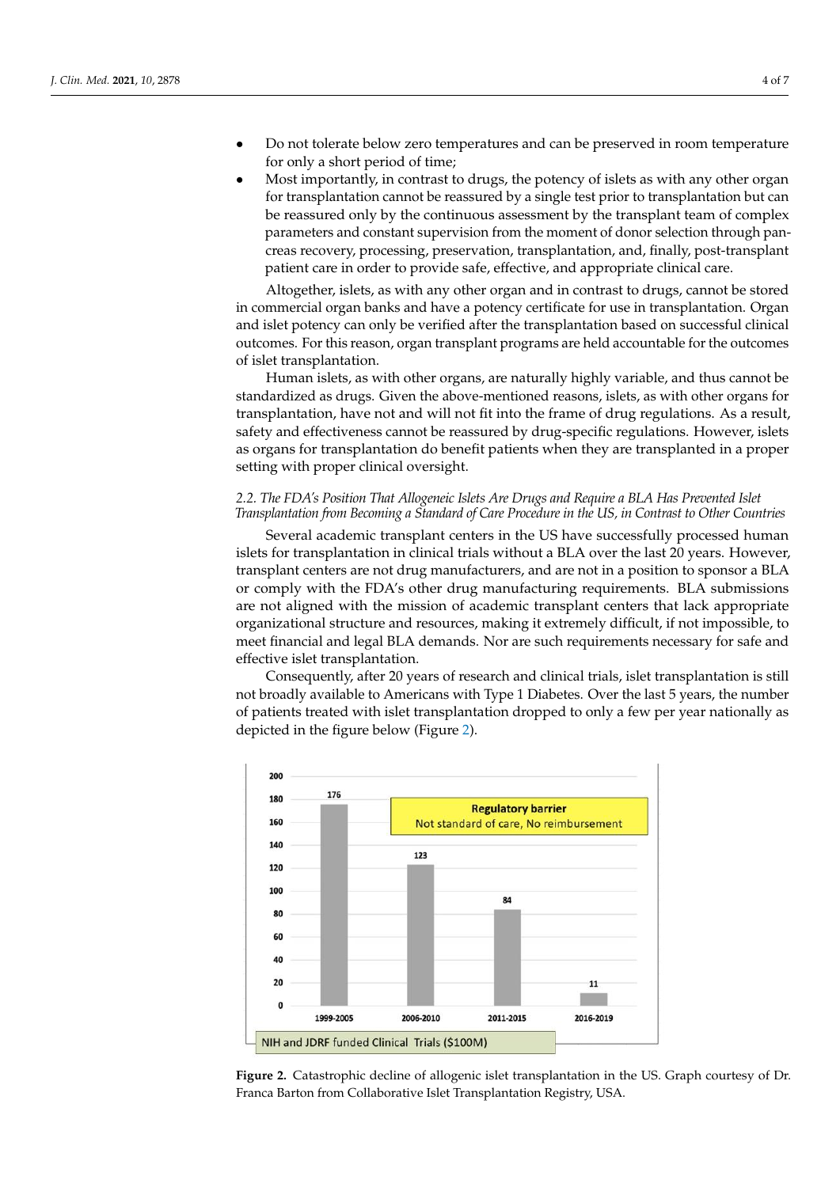- Do not tolerate below zero temperatures and can be preserved in room temperature for only a short period of time;
- Most importantly, in contrast to drugs, the potency of islets as with any other organ for transplantation cannot be reassured by a single test prior to transplantation but can be reassured only by the continuous assessment by the transplant team of complex parameters and constant supervision from the moment of donor selection through pancreas recovery, processing, preservation, transplantation, and, finally, post-transplant patient care in order to provide safe, effective, and appropriate clinical care.

Altogether, islets, as with any other organ and in contrast to drugs, cannot be stored in commercial organ banks and have a potency certificate for use in transplantation. Organ and islet potency can only be verified after the transplantation based on successful clinical outcomes. For this reason, organ transplant programs are held accountable for the outcomes of islet transplantation.

Human islets, as with other organs, are naturally highly variable, and thus cannot be standardized as drugs. Given the above-mentioned reasons, islets, as with other organs for transplantation, have not and will not fit into the frame of drug regulations. As a result, safety and effectiveness cannot be reassured by drug-specific regulations. However, islets as organs for transplantation do benefit patients when they are transplanted in a proper setting with proper clinical oversight.

## *2.2. The FDA's Position That Allogeneic Islets Are Drugs and Require a BLA Has Prevented Islet Transplantation from Becoming a Standard of Care Procedure in the US, in Contrast to Other Countries*

Several academic transplant centers in the US have successfully processed human islets for transplantation in clinical trials without a BLA over the last 20 years. However, transplant centers are not drug manufacturers, and are not in a position to sponsor a BLA or comply with the FDA's other drug manufacturing requirements. BLA submissions are not aligned with the mission of academic transplant centers that lack appropriate organizational structure and resources, making it extremely difficult, if not impossible, to meet financial and legal BLA demands. Nor are such requirements necessary for safe and effective islet transplantation.

Consequently, after 20 years of research and clinical trials, islet transplantation is still not broadly available to Americans with Type 1 Diabetes. Over the last 5 years, the number of patients treated with islet transplantation dropped to only a few per year nationally as depicted in the figure below (Figure [2\)](#page-3-0).

<span id="page-3-0"></span>

**Figure 2.** Catastrophic decline of allogenic islet transplantation in the US. Graph courtesy of Dr. **Figure 2.** Catastrophic decline of allogenic islet transplantation in the US. Graph courtesy of Dr. Franca Barton from Collaborative Islet Transplantation Registry, USA. Franca Barton from Collaborative Islet Transplantation Registry, USA.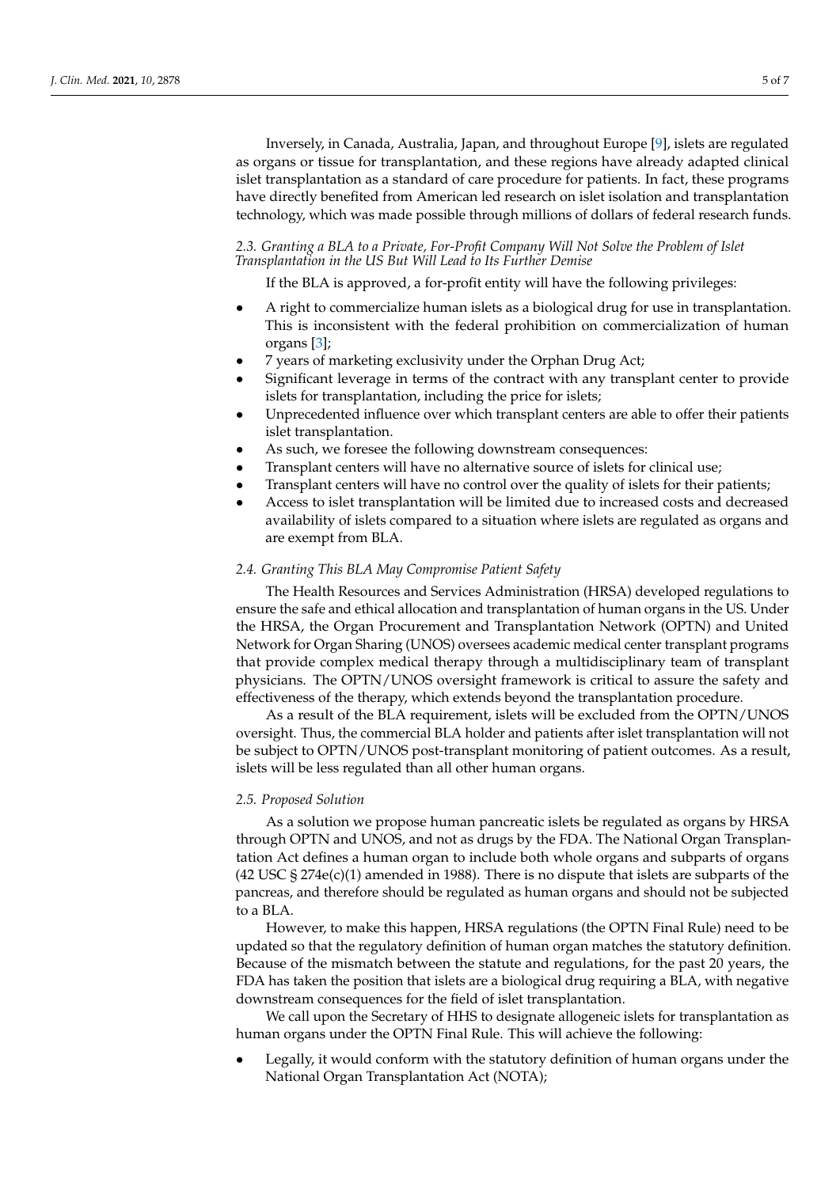Inversely, in Canada, Australia, Japan, and throughout Europe [\[9\]](#page-6-6), islets are regulated as organs or tissue for transplantation, and these regions have already adapted clinical islet transplantation as a standard of care procedure for patients. In fact, these programs have directly benefited from American led research on islet isolation and transplantation technology, which was made possible through millions of dollars of federal research funds.

*2.3. Granting a BLA to a Private, For-Profit Company Will Not Solve the Problem of Islet Transplantation in the US But Will Lead to Its Further Demise*

If the BLA is approved, a for-profit entity will have the following privileges:

- A right to commercialize human islets as a biological drug for use in transplantation. This is inconsistent with the federal prohibition on commercialization of human organs [\[3\]](#page-6-7);
- 7 years of marketing exclusivity under the Orphan Drug Act;
- Significant leverage in terms of the contract with any transplant center to provide islets for transplantation, including the price for islets;
- Unprecedented influence over which transplant centers are able to offer their patients islet transplantation.
- As such, we foresee the following downstream consequences:
- Transplant centers will have no alternative source of islets for clinical use;
- Transplant centers will have no control over the quality of islets for their patients;
- Access to islet transplantation will be limited due to increased costs and decreased availability of islets compared to a situation where islets are regulated as organs and are exempt from BLA.

## *2.4. Granting This BLA May Compromise Patient Safety*

The Health Resources and Services Administration (HRSA) developed regulations to ensure the safe and ethical allocation and transplantation of human organs in the US. Under the HRSA, the Organ Procurement and Transplantation Network (OPTN) and United Network for Organ Sharing (UNOS) oversees academic medical center transplant programs that provide complex medical therapy through a multidisciplinary team of transplant physicians. The OPTN/UNOS oversight framework is critical to assure the safety and effectiveness of the therapy, which extends beyond the transplantation procedure.

As a result of the BLA requirement, islets will be excluded from the OPTN/UNOS oversight. Thus, the commercial BLA holder and patients after islet transplantation will not be subject to OPTN/UNOS post-transplant monitoring of patient outcomes. As a result, islets will be less regulated than all other human organs.

## *2.5. Proposed Solution*

As a solution we propose human pancreatic islets be regulated as organs by HRSA through OPTN and UNOS, and not as drugs by the FDA. The National Organ Transplantation Act defines a human organ to include both whole organs and subparts of organs  $(42 \text{ USC } \text{\&} 274e(c)(1)$  amended in 1988). There is no dispute that islets are subparts of the pancreas, and therefore should be regulated as human organs and should not be subjected to a BLA.

However, to make this happen, HRSA regulations (the OPTN Final Rule) need to be updated so that the regulatory definition of human organ matches the statutory definition. Because of the mismatch between the statute and regulations, for the past 20 years, the FDA has taken the position that islets are a biological drug requiring a BLA, with negative downstream consequences for the field of islet transplantation.

We call upon the Secretary of HHS to designate allogeneic islets for transplantation as human organs under the OPTN Final Rule. This will achieve the following:

• Legally, it would conform with the statutory definition of human organs under the National Organ Transplantation Act (NOTA);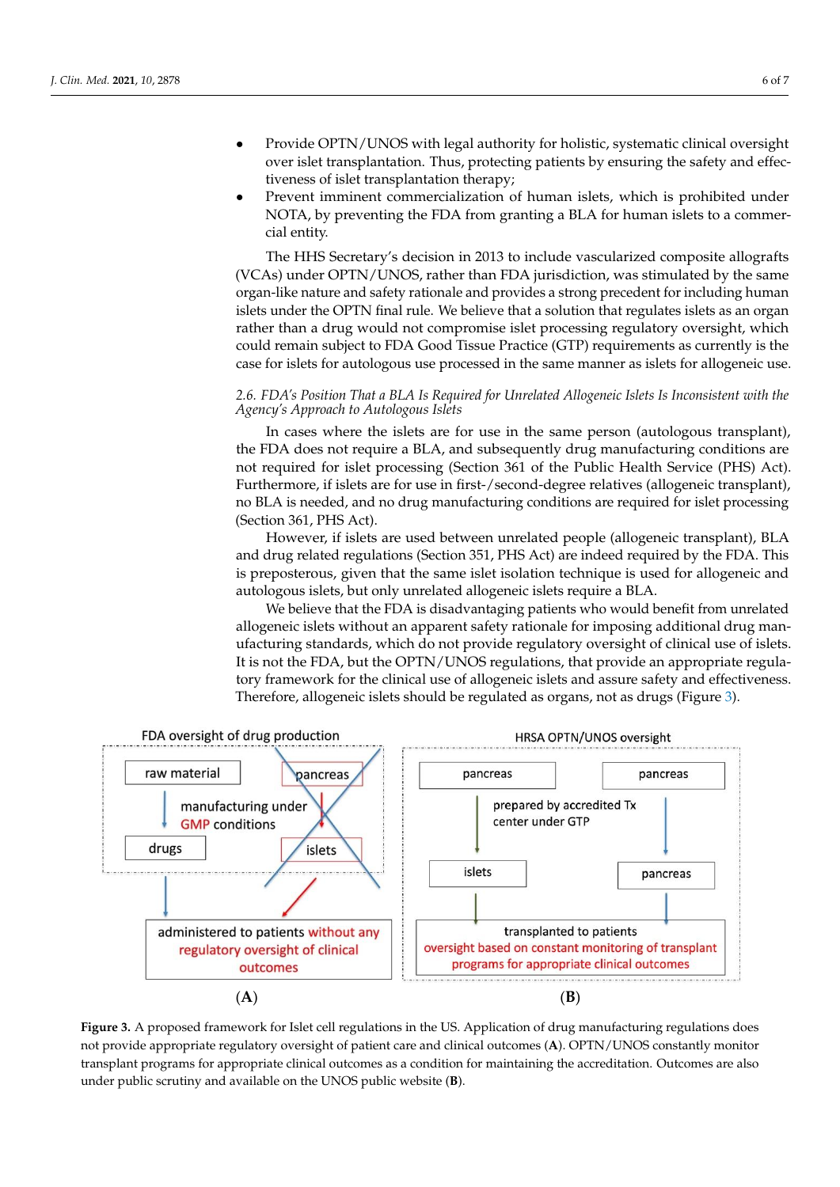- Provide OPTN/UNOS with legal authority for holistic, systematic clinical oversight over islet transplantation. Thus, protecting patients by ensuring the safety and effectiveness of islet transplantation therapy;
- Prevent imminent commercialization of human islets, which is prohibited under NOTA, by preventing the FDA from granting a BLA for human islets to a commercial entity.

The HHS Secretary's decision in 2013 to include vascularized composite allografts (VCAs) under OPTN/UNOS, rather than FDA jurisdiction, was stimulated by the same organ-like nature and safety rationale and provides a strong precedent for including human islets under the OPTN final rule. We believe that a solution that regulates islets as an organ rather than a drug would not compromise islet processing regulatory oversight, which could remain subject to FDA Good Tissue Practice (GTP) requirements as currently is the case for islets for autologous use processed in the same manner as islets for allogeneic use.

## *2.6. FDA's Position That a BLA Is Required for Unrelated Allogeneic Islets Is Inconsistent with the Agency's Approach to Autologous Islets*

In cases where the islets are for use in the same person (autologous transplant), the FDA does not require a BLA, and subsequently drug manufacturing conditions are not required for islet processing (Section 361 of the Public Health Service (PHS) Act). Furthermore, if islets are for use in first-/second-degree relatives (allogeneic transplant), no BLA is needed, and no drug manufacturing conditions are required for islet processing (Section 361, PHS Act).

However, if islets are used between unrelated people (allogeneic transplant), BLA and drug related regulations (Section 351, PHS Act) are indeed required by the FDA. This is preposterous, given that the same islet isolation technique is used for allogeneic and autologous islets, but only unrelated allogeneic islets require a BLA.

> We believe that the FDA is disadvantaging patients who would benefit from unrelated<br>which do not provide regulatory oversight of clinical use of clinical use of different days are guide allogeneic islets without an apparent safety rationale for imposing additional drug manin genere islets which an apparent safety rationale for imposing additional drag man-<br>ufacturing standards, which do not provide regulatory oversight of clinical use of islets. It is not the FDA, but the OPTN/UNOS regulations, that provide an appropriate regulatory framework for the clinical use of allogeneic islets and assure safety and effectiveness. Therefore, allogeneic islets should be regulated as organs, not as drugs (Figure [3\)](#page-5-0).

<span id="page-5-0"></span>

Figure 3. A proposed framework for Islet cell regulations in the US. Application of drug manufacturing regulations does not provide appropriate regulatory oversight of patient care and clinical outcomes (A). OPTN/UNOS constantly monitor transplant programs for appropriate clinical outcomes as a condition for maintaining the accreditation. Outcomes are also under public scrutiny and available on the UNOS public website (**B**). under public scrutiny and available on the UNOS public website (**B**).